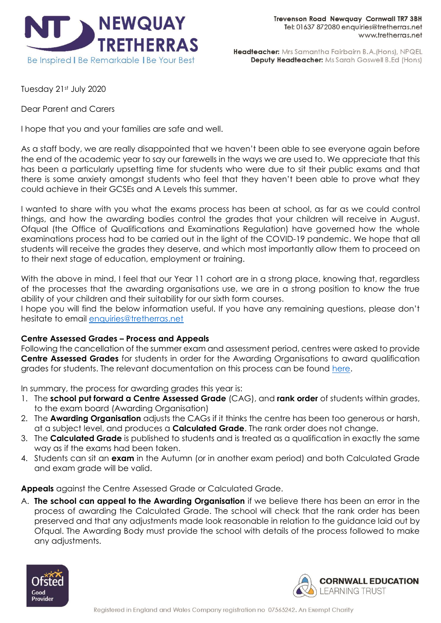

Headteacher: Mrs Samantha Fairbairn B.A. (Hons), NPQEL **Deputy Headteacher:** Ms Sarah Goswell B.Ed (Hons)

Tuesday 21st July 2020

Dear Parent and Carers

I hope that you and your families are safe and well.

As a staff body, we are really disappointed that we haven't been able to see everyone again before the end of the academic year to say our farewells in the ways we are used to. We appreciate that this has been a particularly upsetting time for students who were due to sit their public exams and that there is some anxiety amongst students who feel that they haven't been able to prove what they could achieve in their GCSEs and A Levels this summer.

I wanted to share with you what the exams process has been at school, as far as we could control things, and how the awarding bodies control the grades that your children will receive in August. Ofqual (the Office of Qualifications and Examinations Regulation) have governed how the whole examinations process had to be carried out in the light of the COVID-19 pandemic. We hope that all students will receive the grades they deserve, and which most importantly allow them to proceed on to their next stage of education, employment or training.

With the above in mind, I feel that our Year 11 cohort are in a strong place, knowing that, regardless of the processes that the awarding organisations use, we are in a strong position to know the true ability of your children and their suitability for our sixth form courses.

I hope you will find the below information useful. If you have any remaining questions, please don't hesitate to email [enquiries@tretherras.net](mailto:enquiries@tretherras.net)

# **Centre Assessed Grades – Process and Appeals**

Following the cancellation of the summer exam and assessment period, centres were asked to provide **Centre Assessed Grades** for students in order for the Awarding Organisations to award qualification grades for students. The relevant documentation on this process can be found [here.](https://www.gov.uk/government/publications/awarding-qualifications-in-summer-2020)

In summary, the process for awarding grades this year is:

- 1. The **school put forward a Centre Assessed Grade** (CAG), and **rank order** of students within grades, to the exam board (Awarding Organisation)
- 2. The **Awarding Organisation** adjusts the CAGs if it thinks the centre has been too generous or harsh, at a subject level, and produces a **Calculated Grade**. The rank order does not change.
- 3. The **Calculated Grade** is published to students and is treated as a qualification in exactly the same way as if the exams had been taken.
- 4. Students can sit an **exam** in the Autumn (or in another exam period) and both Calculated Grade and exam grade will be valid.

**Appeals** against the Centre Assessed Grade or Calculated Grade.

A. **The school can appeal to the Awarding Organisation** if we believe there has been an error in the process of awarding the Calculated Grade. The school will check that the rank order has been preserved and that any adjustments made look reasonable in relation to the guidance laid out by Ofqual. The Awarding Body must provide the school with details of the process followed to make any adjustments.



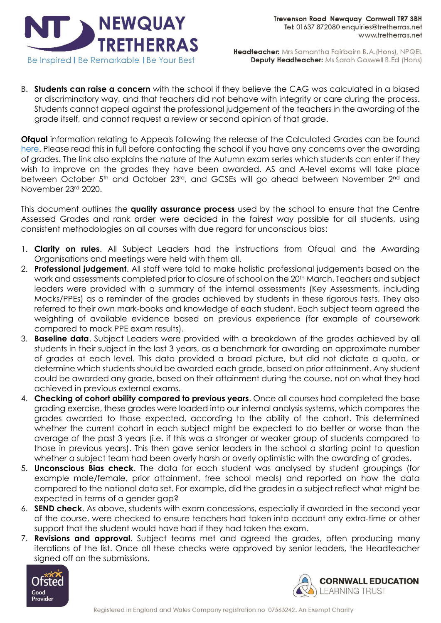

Headteacher: Mrs Samantha Fairbairn B.A. (Hons), NPQEL Deputy Headteacher: Ms Sarah Goswell B.Ed (Hons)

B. **Students can raise a concern** with the school if they believe the CAG was calculated in a biased or discriminatory way, and that teachers did not behave with integrity or care during the process. Students cannot appeal against the professional judgement of the teachers in the awarding of the grade itself, and cannot request a review or second opinion of that grade.

**Ofqual** information relating to Appeals following the release of the Calculated Grades can be found [here.](https://www.gov.uk/government/news/ofqual-publishes-more-details-on-appeals-and-confirms-autumn-exam-arrangements) Please read this in full before contacting the school if you have any concerns over the awarding of grades. The link also explains the nature of the Autumn exam series which students can enter if they wish to improve on the grades they have been awarded. AS and A-level exams will take place between October 5<sup>th</sup> and October 23<sup>rd</sup>, and GCSEs will go ahead between November 2<sup>nd</sup> and November 23rd 2020.

This document outlines the **quality assurance process** used by the school to ensure that the Centre Assessed Grades and rank order were decided in the fairest way possible for all students, using consistent methodologies on all courses with due regard for unconscious bias:

- 1. **Clarity on rules**. All Subject Leaders had the instructions from Ofqual and the Awarding Organisations and meetings were held with them all.
- 2. **Professional judgement**. All staff were told to make holistic professional judgements based on the work and assessments completed prior to closure of school on the 20<sup>th</sup> March. Teachers and subject leaders were provided with a summary of the internal assessments (Key Assessments, including Mocks/PPEs) as a reminder of the grades achieved by students in these rigorous tests. They also referred to their own mark-books and knowledge of each student. Each subject team agreed the weighting of available evidence based on previous experience (for example of coursework compared to mock PPE exam results).
- 3. **Baseline data**. Subject Leaders were provided with a breakdown of the grades achieved by all students in their subject in the last 3 years, as a benchmark for awarding an approximate number of grades at each level. This data provided a broad picture, but did not dictate a quota, or determine which students should be awarded each grade, based on prior attainment. Any student could be awarded any grade, based on their attainment during the course, not on what they had achieved in previous external exams.
- 4. **Checking of cohort ability compared to previous years**. Once all courses had completed the base grading exercise, these grades were loaded into our internal analysis systems, which compares the grades awarded to those expected, according to the ability of the cohort. This determined whether the current cohort in each subject might be expected to do better or worse than the average of the past 3 years (i.e. if this was a stronger or weaker group of students compared to those in previous years). This then gave senior leaders in the school a starting point to question whether a subject team had been overly harsh or overly optimistic with the awarding of grades.
- 5. **Unconscious Bias check**. The data for each student was analysed by student groupings (for example male/female, prior attainment, free school meals) and reported on how the data compared to the national data set. For example, did the grades in a subject reflect what might be expected in terms of a gender gap?
- 6. **SEND check**. As above, students with exam concessions, especially if awarded in the second year of the course, were checked to ensure teachers had taken into account any extra-time or other support that the student would have had if they had taken the exam.
- 7. **Revisions and approval**. Subject teams met and agreed the grades, often producing many iterations of the list. Once all these checks were approved by senior leaders, the Headteacher signed off on the submissions.